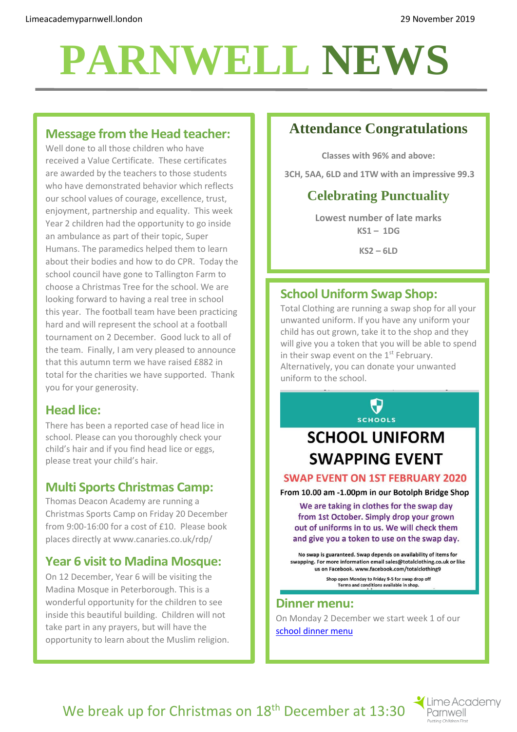# **PARNWELL NEWS**

# **Message from the Head teacher:**

Well done to all those children who have received a Value Certificate. These certificates are awarded by the teachers to those students who have demonstrated behavior which reflects our school values of courage, excellence, trust, enjoyment, partnership and equality. This week Year 2 children had the opportunity to go inside an ambulance as part of their topic, Super Humans. The paramedics helped them to learn about their bodies and how to do CPR. Today the school council have gone to Tallington Farm to choose a Christmas Tree for the school. We are looking forward to having a real tree in school this year. The football team have been practicing hard and will represent the school at a football tournament on 2 December. Good luck to all of the team. Finally, I am very pleased to announce that this autumn term we have raised £882 in total for the charities we have supported. Thank you for your generosity.

# **Head lice:**

There has been a reported case of head lice in school. Please can you thoroughly check your child's hair and if you find head lice or eggs, please treat your child's hair.

# **Multi Sports Christmas Camp:**

Thomas Deacon Academy are running a Christmas Sports Camp on Friday 20 December from 9:00-16:00 for a cost of £10. Please book places directly at www.canaries.co.uk/rdp/

# **Year 6 visit to Madina Mosque:**

On 12 December, Year 6 will be visiting the Madina Mosque in Peterborough. This is a wonderful opportunity for the children to see inside this beautiful building. Children will not take part in any prayers, but will have the opportunity to learn about the Muslim religion.

# **Attendance Congratulations**

**Classes with 96% and above:**

**3CH, 5AA, 6LD and 1TW with an impressive 99.3**

# **Celebrating Punctuality**

**Lowest number of late marks KS1 – 1DG**

**KS2 – 6LD**

# **School Uniform Swap Shop:**

Total Clothing are running a swap shop for all your unwanted uniform. If you have any uniform your child has out grown, take it to the shop and they will give you a token that you will be able to spend in their swap event on the  $1<sup>st</sup>$  February. Alternatively, you can donate your unwanted uniform to the school.

**SCHOOLS** 

# **SCHOOL UNIFORM SWAPPING EVENT**

#### **SWAP EVENT ON 1ST FEBRUARY 2020**

From 10.00 am -1.00pm in our Botolph Bridge Shop

We are taking in clothes for the swap day from 1st October. Simply drop your grown out of uniforms in to us. We will check them and give you a token to use on the swap day.

No swap is guaranteed. Swap depends on availability of items for swapping. For more information email sales@totalclothing.co.uk or like us on Facebook. www.facebook.com/totalclothing9 Shop open Monday to Friday 9-5 for swap drop off

Terms and conditions available in shop.

#### **Dinner menu:**

On Monday 2 December we start week 1 of our [school dinner menu](http://limeacademyparnwell.london/media/2196/dinner-menu-2019-09-05.pdf)

We break up for Christmas on 18<sup>th</sup> December at 13:30